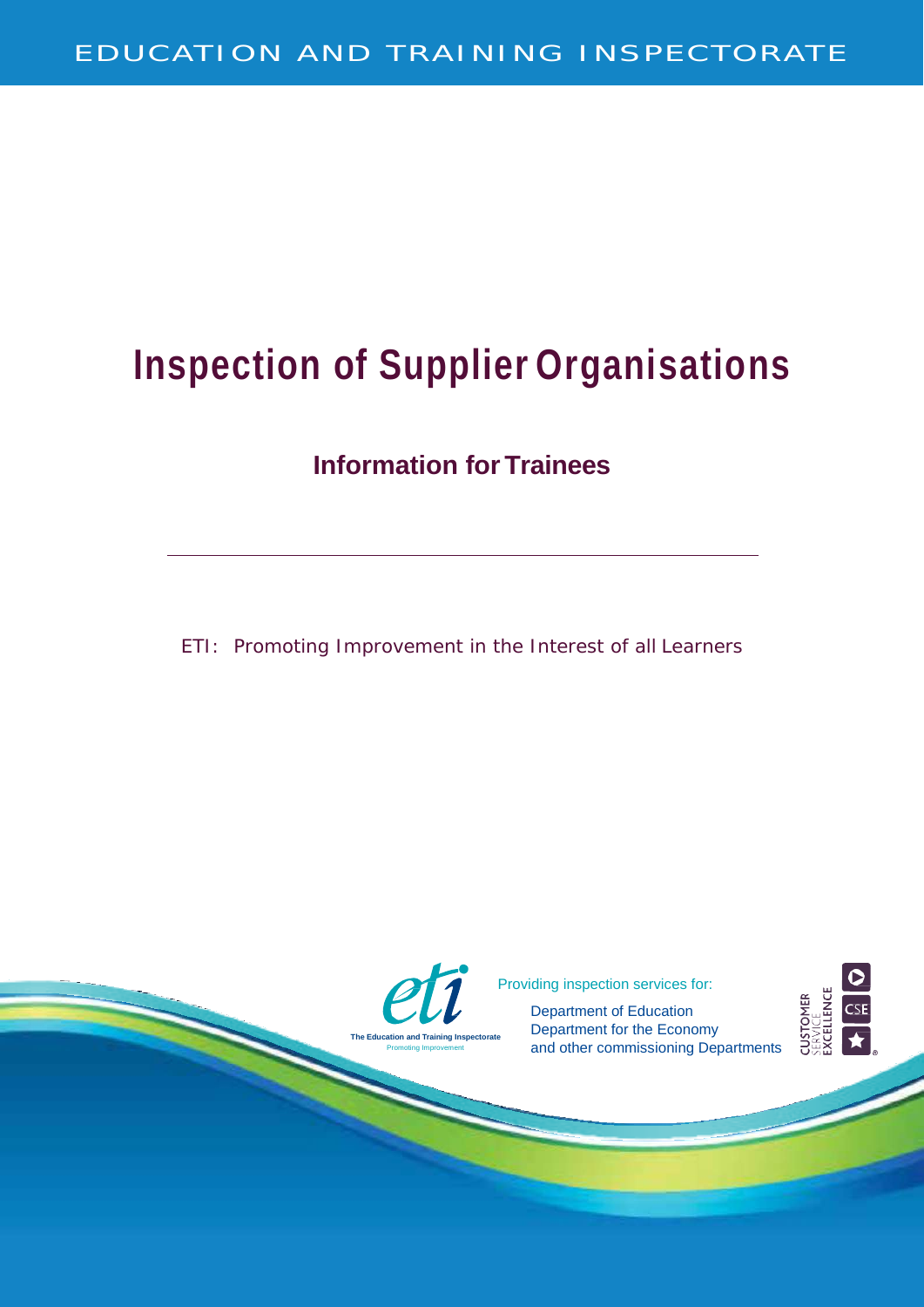# **Inspection of Supplier Organisations**

### **Information for Trainees**

ETI: Promoting Improvement in the Interest of all Learners

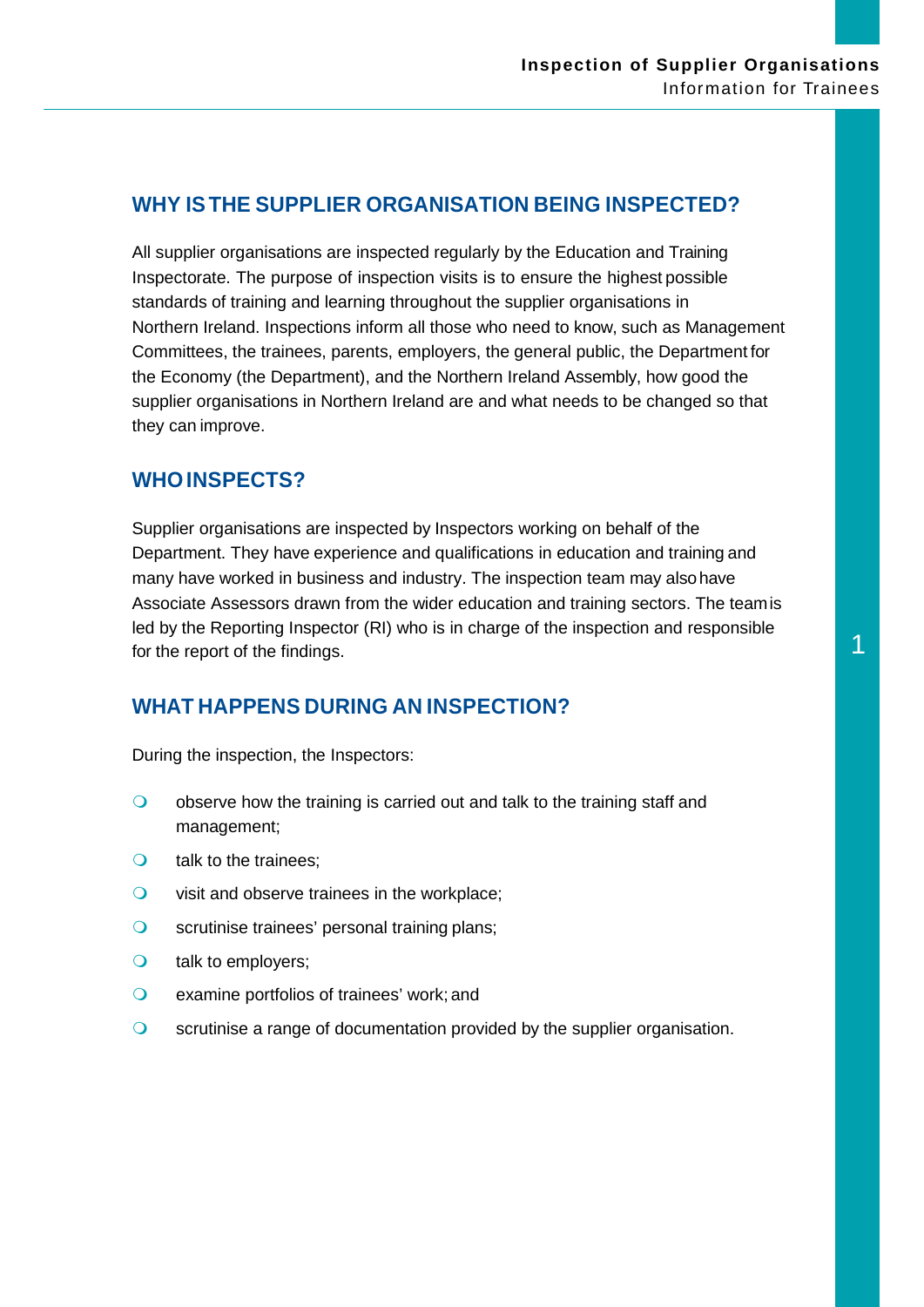#### **WHY ISTHE SUPPLIER ORGANISATION BEING INSPECTED?**

All supplier organisations are inspected regularly by the Education and Training Inspectorate. The purpose of inspection visits is to ensure the highest possible standards of training and learning throughout the supplier organisations in Northern Ireland. Inspections inform all those who need to know, such as Management Committees, the trainees, parents, employers, the general public, the Department for the Economy (the Department), and the Northern Ireland Assembly, how good the supplier organisations in Northern Ireland are and what needs to be changed so that they can improve.

#### **WHOINSPECTS?**

Supplier organisations are inspected by Inspectors working on behalf of the Department. They have experience and qualifications in education and training and many have worked in business and industry. The inspection team may alsohave Associate Assessors drawn from the wider education and training sectors. The teamis led by the Reporting Inspector (RI) who is in charge of the inspection and responsible for the report of the findings.  $\frac{1}{2}$  for the report of the findings.

#### **WHAT HAPPENS DURING AN INSPECTION?**

During the inspection, the Inspectors:

- $\bullet$  observe how the training is carried out and talk to the training staff and management;
- O talk to the trainees;
- $\circ$  visit and observe trainees in the workplace;
- **O** scrutinise trainees' personal training plans;
- O talk to employers;
- examine portfolios of trainees' work; and
- scrutinise a range of documentation provided by the supplier organisation.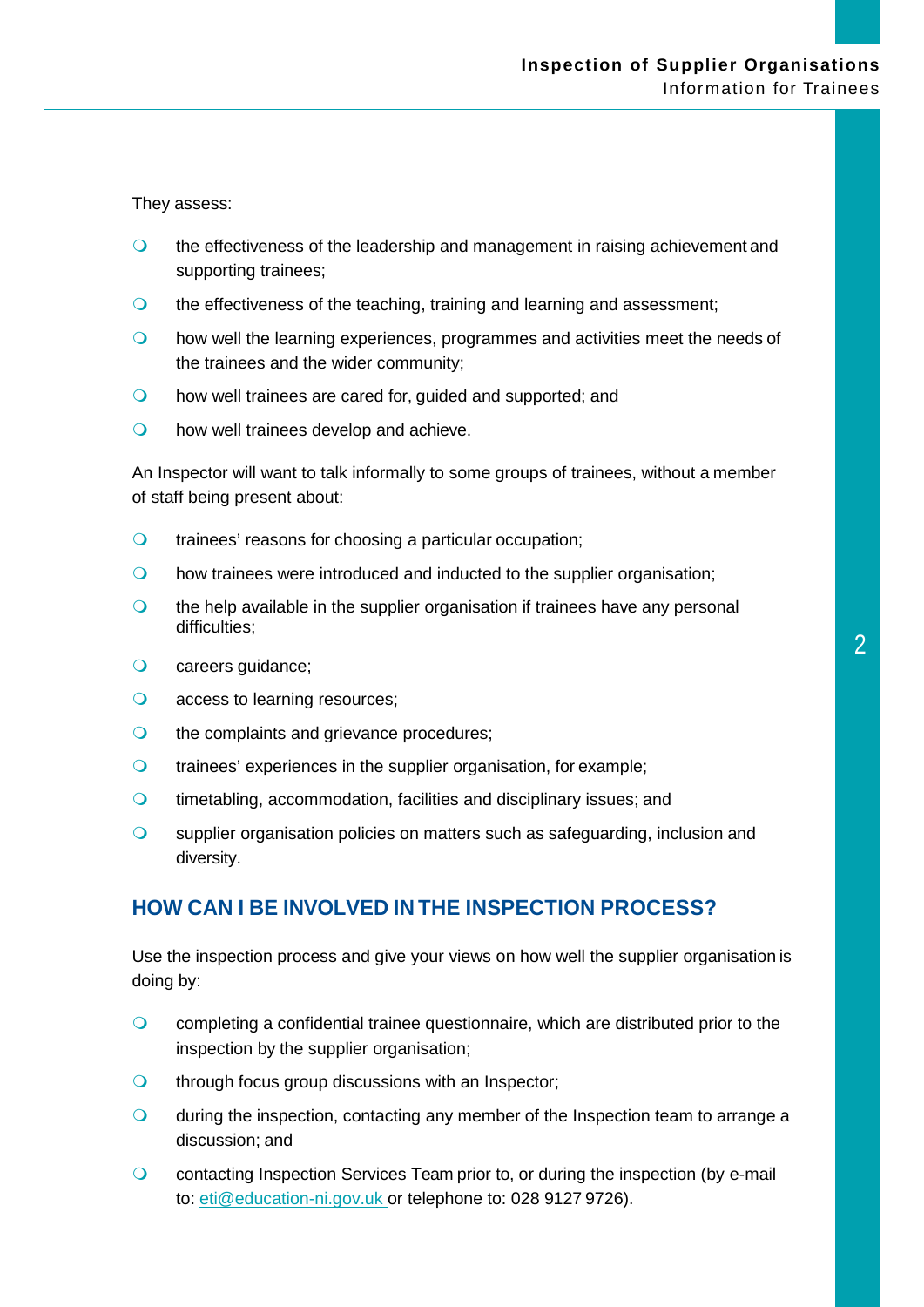They assess:

- **O** the effectiveness of the leadership and management in raising achievement and supporting trainees;
- **O** the effectiveness of the teaching, training and learning and assessment;
- how well the learning experiences, programmes and activities meet the needs of the trainees and the wider community;
- how well trainees are cared for, guided and supported; and
- **O** how well trainees develop and achieve.

An Inspector will want to talk informally to some groups of trainees, without a member of staff being present about:

- trainees' reasons for choosing a particular occupation;
- how trainees were introduced and inducted to the supplier organisation;
- $\circ$  the help available in the supplier organisation if trainees have any personal difficulties;
- O careers guidance;
- O access to learning resources;
- O the complaints and grievance procedures;
- trainees' experiences in the supplier organisation, for example;
- **Q** timetabling, accommodation, facilities and disciplinary issues; and
- **O** supplier organisation policies on matters such as safeguarding, inclusion and diversity.

#### **HOW CAN I BE INVOLVED IN THE INSPECTION PROCESS?**

Use the inspection process and give your views on how well the supplier organisation is doing by:

- completing a confidential trainee questionnaire, which are distributed prior to the inspection by the supplier organisation;
- **o** through focus group discussions with an Inspector;
- during the inspection, contacting any member of the Inspection team to arrange a discussion; and
- **Q** contacting Inspection Services Team prior to, or during the inspection (by e-mail to: [eti@education-ni.gov.uk o](mailto:eti@education-ni.gov.uk)r telephone to: 028 9127 9726).